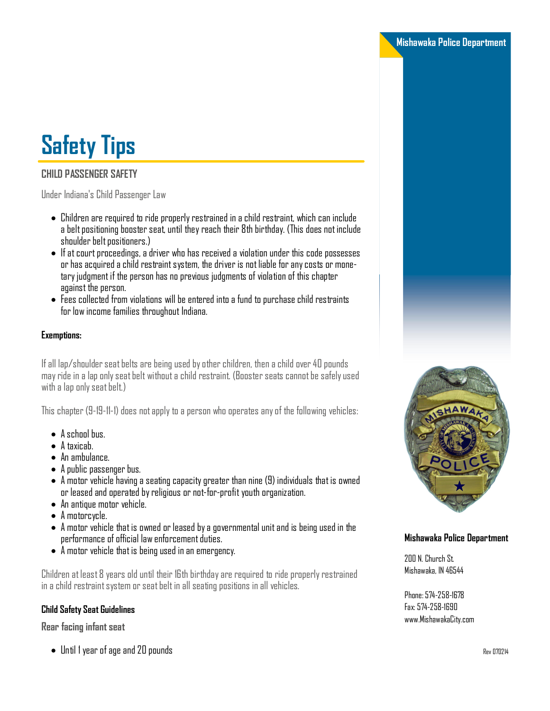# **Safety Tips**

# **CHILD PASSENGER SAFETY**

Under Indiana's Child Passenger Law

- $\bullet$  Children are required to ride properly restrained in a child restraint, which can include a belt positioning booster seat, until they reach their 8th birthday. (This does not include shoulder belt positioners.)
- $\bullet$  If at court proceedings, a driver who has received a violation under this code possesses or has acquired a child restraint system, the driver is not liable for any costs or monetary judgment if the person has no previous judgments of violation of this chapter against the person.
- $\bullet$  Fees collected from violations will be entered into a fund to purchase child restraints for low income families throughout Indiana.

## **Exemptions:**

If all lap/shoulder seat belts are being used by other children, then a child over 40 pounds may ride in a lap only seat belt without a child restraint. (Booster seats cannot be safely used with a lap only seat belt.)

This chapter (9-19-11-1) does not apply to a person who operates any of the following vehicles:

- $\bullet$  A school bus.
- A taxicab.
- $\bullet$  An ambulance.
- A public passenger bus.
- $\bullet$  A motor vehicle having a seating capacity greater than nine (9) individuals that is owned or leased and operated by religious or not-for-profit youth organization.
- An antique motor vehicle.
- $\bullet$  A motorcycle.
- $\bullet$  A motor vehicle that is owned or leased by a governmental unit and is being used in the performance of official law enforcement duties.
- $\bullet$  A motor vehicle that is being used in an emergency.

Children at least 8 years old until their 16th birthday are required to ride properly restrained in a child restraint system or seat belt in all seating positions in all vehicles.

## **Child Safety Seat Guidelines**

**Rear facing infant seat** 

• Until 1 year of age and 20 pounds



**Mishawaka Police Department** 

## **Mishawaka Police Department**

200 N. Church St.<br>Mishawaka, IN 46544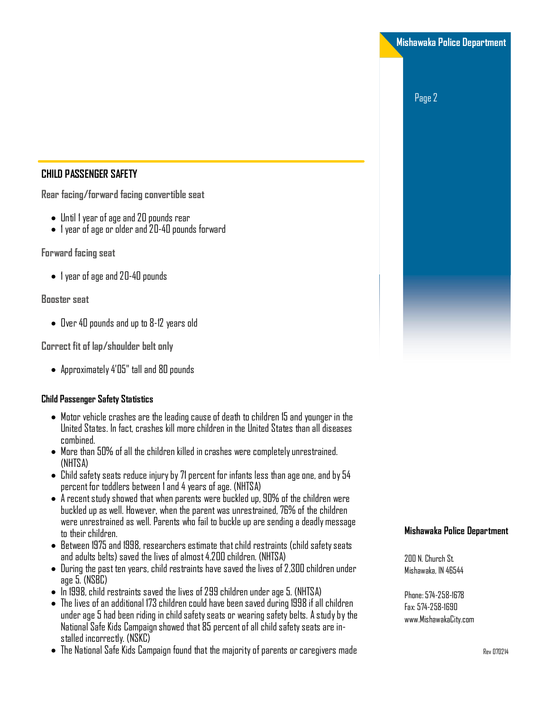**Mishawaka Police Department** 

Page 2

# **CHILD PASSENGER SAFETY**

 $\overline{\text{R}}$  **Facing/forward facing convertible seat** 

- $\bullet$  Until 1 year of age and 20 pounds rear
- $\bullet$  1 year of age or older and 20-40 pounds forward

**Forward facing seat** 

 $\bullet$  1 year of age and 20-40 pounds

**Booster** seat

 $\bullet$  Over 40 pounds and up to 8-12 years old

**Correct fit of lap/shoulder belt only** 

• Approximately 4'05" tall and 80 pounds

# **Child Passenger Safety Statistics**

- $\bullet$  Motor vehicle crashes are the leading cause of death to children 15 and younger in the United States. In fact, crashes kill more children in the United States than all diseases combined.
- $\bullet$  More than 50% of all the children killed in crashes were completely unrestrained. (NHTSA)
- $\bullet$  Child safety seats reduce injury by 71 percent for infants less than age one, and by 54  $p$ ercent for toddlers between 1 and 4 years of age. (NHTSA)
- $\bullet$  A recent study showed that when parents were buckled up, 90% of the children were buckled up as well. However, when the parent was unrestrained, 76% of the children were unrestrained as well. Parents who fail to buckle up are sending a deadly message to their children.
- $\bullet$  Between 1975 and 1998, researchers estimate that child restraints (child safety seats and adults belts) saved the lives of almost 4,200 children. (NHTSA)
- $\bullet$  During the past ten years, child restraints have saved the lives of 2,300 children under aoe 5. (NSBC)
- $\bullet$  In 1998, child restraints saved the lives of 299 children under age 5. (NHTSA)
- $\bullet$  The lives of an additional 173 children could have been saved during 1998 if all children under age 5 had been riding in child safety seats or wearing safety belts. A study by the National Safe Kids Campaign showed that 85 percent of all child safety seats are in-<br>stalled incorrectlv. (NSKC)
- $\bullet$  The National Safe Kids Campaign found that the majority of parents or caregivers made

## **Mishawaka Police Department**

200 N. Church St.<br>Mishawaka IN 46544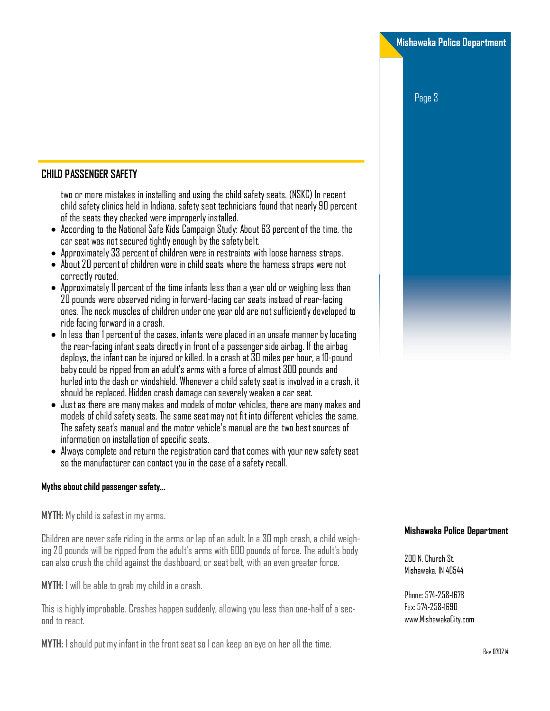Page 3

## **CHILD PASSENGER SAFETY**

two or more mistakes in installing and using the child safety seats. (NSKC) In recent child safety clinics held in Indiana, safety seat technicians found that nearly 90 percent of the seats they checked were improperly installed.

- $\bullet$  According to the National Safe Kids Campaign Study: About 63 percent of the time, the car seat was not secured tightly enough by the safety belt.
- $\bullet$  Approximately 33 percent of children were in restraints with loose harness straps.
- $\bullet \,$  About 20 percent of children were in child seats where the harness straps were not correctly routed.
- $\bullet$  Approximately 11 percent of the time infants less than a vear old or weighing less than 20 pounds were observed riding in forward-facing car seats instead of rear-facing ones. The neck muscles of children under one year old are not sufficiently developed to ride facing forward in a crash.
- $\bullet \,$  In less than 1 percent of the cases, infants were placed in an unsafe manner by locating the rear-facing infant seats directly in front of a passenger side airbag. If the airbag deploys, the infant can be injured or killed. In a crash at 30 miles per hour, a 10-pound baby could be ripped from an adult's arms with a force of almost 300 pounds and hurled into the dash or windshield. Whenever a child safety seat is involved in a crash, it should be replaced. Hidden crash damage can severely weaken a car seat.
- $\bullet\,$  Just as there are many makes and models of motor vehicles, there are many makes and models of child safety seats. The same seat may not fit into different vehicles the same. The safety seat's manual and the motor vehicle's manual are the two best sources of information on installation of specific seats.
- $\bullet$  Always complete and return the registration card that comes with your new safety seat so the manufacturer can contact you in the case of a safety recall.

#### **Myths about child passenger safety...**

**MYTH:** My child is safest in my arms.

Children are never safe riding in the arms or lap of an adult. In a 30 mph crash, a child weighing 20 pounds will be ripped from the adult's arms with 600 pounds of force. The adult's body can also crush the child against the dashboard, or seat belt, with an even greater force.

**MYTH:** I will be able to grab my child in a crash.

This is highly improbable. Crashes happen suddenly, allowing you less than one-half of a sec-<br>ond to react

**MYTH:** I should put my infant in the front seat so I can keep an eye on her all the time.

## **Mishawaka Police Department**

200 N. Church St.<br>Mishawaka, IN 46544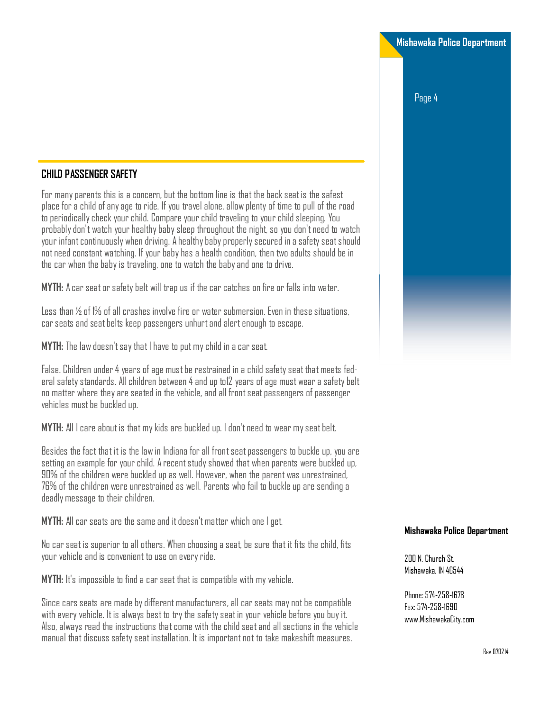Page 4

## **CHILD PASSENGER SAFETY**

For many parents this is a concern, but the bottom line is that the back seat is the safest place for a child of any age to ride. If you travel alone, allow plenty of time to pull of the road to periodically check your child. Compare your child traveling to your child sleeping. You probably don't watch your healthy baby sleep throughout the night, so you don't need to watch your infant continuously when driving. A healthy baby properly secured in a safety seat should not need constant watching. If vour baby has a health condition, then two adults should be in the car when the baby is traveling, one to watch the baby and one to drive.

**MYTH:** A car seat or safety belt will trap us if the car catches on fire or falls into water.

Less than  $\%$  of 1% of all crashes involve fire or water submersion. Even in these situations, car seats and seat belts keep passengers unhurt and alert enough to escape.

**MYTH:** The law doesn't say that I have to put my child in a car seat.

False. Children under 4 years of age must be restrained in a child safety seat that meets fed- $\,$ eral safety standards. All children between 4 and up to12 vears of age must wear a safety belt no matter where they are seated in the vehicle, and all front seat passengers of passenger vehicles must be buckled up.

**MYTH:** All I care about is that my kids are buckled up. I don't need to wear my seat belt.

Besides the fact that it is the law in Indiana for all front seat passengers to buckle up, you are setting an example for your child. A recent study showed that when parents were buckled up, 90% of the children were buckled up as well. However, when the parent was unrestrained, 76% of the children were unrestrained as well. Parents who fail to buckle up are sending a deadly message to their children.

**MYTH:** All car seats are the same and it doesn't matter which one I get.

No car seat is superior to all others. When choosing a seat, be sure that it fits the child, fits your vehicle and is convenient to use on every ride.

**MYTH:** It's impossible to find a car seat that is compatible with my vehicle.

Since cars seats are made by different manufacturers, all car seats may not be compatible with every vehicle. It is always best to try the safety seat in your vehicle before you buy it. Also, always read the instructions that come with the child seat and all sections in the vehicle manual that discuss safety seat installation. It is important not to take makeshift measures.

#### **Mishawaka Police Department**

200 N. Church St.<br>Mishawaka, IN 46544